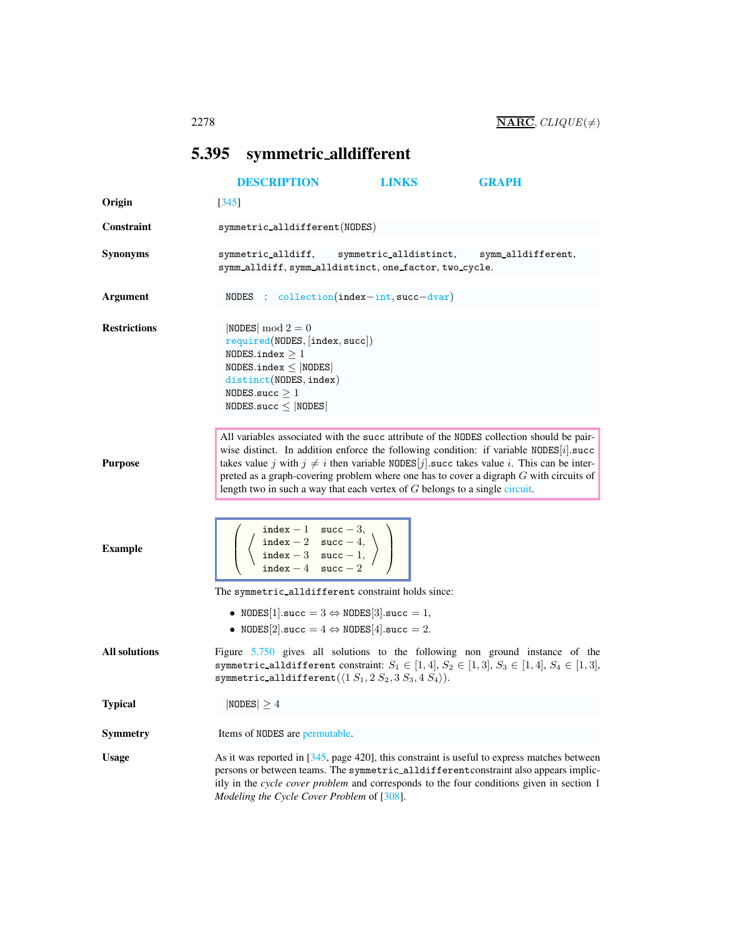## <span id="page-0-1"></span><span id="page-0-0"></span>5.395 symmetric alldifferent

|                      | <b>DESCRIPTION</b>                                                                                                                                                                       | <b>LINKS</b>           | GRAPH                                                                                                                                                                                                                                                                                                                                                                             |
|----------------------|------------------------------------------------------------------------------------------------------------------------------------------------------------------------------------------|------------------------|-----------------------------------------------------------------------------------------------------------------------------------------------------------------------------------------------------------------------------------------------------------------------------------------------------------------------------------------------------------------------------------|
| Origin               | 345                                                                                                                                                                                      |                        |                                                                                                                                                                                                                                                                                                                                                                                   |
| <b>Constraint</b>    | symmetric_alldifferent(NODES)                                                                                                                                                            |                        |                                                                                                                                                                                                                                                                                                                                                                                   |
| <b>Synonyms</b>      | symmetric_alldiff,<br>symm_alldiff, symm_alldistinct, one_factor, two_cycle.                                                                                                             | symmetric_alldistinct, | symm_alldifferent,                                                                                                                                                                                                                                                                                                                                                                |
| Argument             | NODES : $\text{collection}(\text{index}-\text{int}, \text{succ}-\text{dvar})$                                                                                                            |                        |                                                                                                                                                                                                                                                                                                                                                                                   |
| <b>Restrictions</b>  | $ NODES  \mod 2 = 0$<br>required(NDDES, [index, succ])<br>NODES.index $\geq 1$<br>NODES.index $\leq$ NODES<br>distinct(NODES, index)<br>NODES.succ $\geq 1$<br>$NODES.size \leq  NODES $ |                        |                                                                                                                                                                                                                                                                                                                                                                                   |
| <b>Purpose</b>       | length two in such a way that each vertex of $G$ belongs to a single circuit.                                                                                                            |                        | All variables associated with the succ attribute of the NODES collection should be pair-<br>wise distinct. In addition enforce the following condition: if variable $NODES[i].succ$<br>takes value j with $j \neq i$ then variable NODES $[j]$ succ takes value i. This can be inter-<br>preted as a graph-covering problem where one has to cover a digraph $G$ with circuits of |
| <b>Example</b>       | index - 1 succ - 3,<br>index - 2 succ - 4,<br>index - 3 succ - 1,<br>index - 4 succ - 1,                                                                                                 |                        |                                                                                                                                                                                                                                                                                                                                                                                   |
|                      | The symmetric_alldifferent constraint holds since:                                                                                                                                       |                        |                                                                                                                                                                                                                                                                                                                                                                                   |
|                      | • NODES[1].succ = $3 \Leftrightarrow$ NODES[3].succ = 1,<br>• NODES[2].succ = $4 \Leftrightarrow$ NODES[4].succ = 2.                                                                     |                        |                                                                                                                                                                                                                                                                                                                                                                                   |
| <b>All solutions</b> | symmetric_alldifferent $(\langle 1 S_1, 2 S_2, 3 S_3, 4 S_4 \rangle).$                                                                                                                   |                        | Figure $5.750$ gives all solutions to the following non ground instance of the<br>symmetric_alldifferent constraint: $S_1 \in [1, 4], S_2 \in [1, 3], S_3 \in [1, 4], S_4 \in [1, 3],$                                                                                                                                                                                            |
| <b>Typical</b>       | $ NODES  \geq 4$                                                                                                                                                                         |                        |                                                                                                                                                                                                                                                                                                                                                                                   |
| <b>Symmetry</b>      | Items of NODES are permutable.                                                                                                                                                           |                        |                                                                                                                                                                                                                                                                                                                                                                                   |
| <b>Usage</b>         | Modeling the Cycle Cover Problem of [308].                                                                                                                                               |                        | As it was reported in $[345, \text{page } 420]$ , this constraint is useful to express matches between<br>persons or between teams. The symmetric_alldifferent constraint also appears implic-<br>itly in the cycle cover problem and corresponds to the four conditions given in section 1                                                                                       |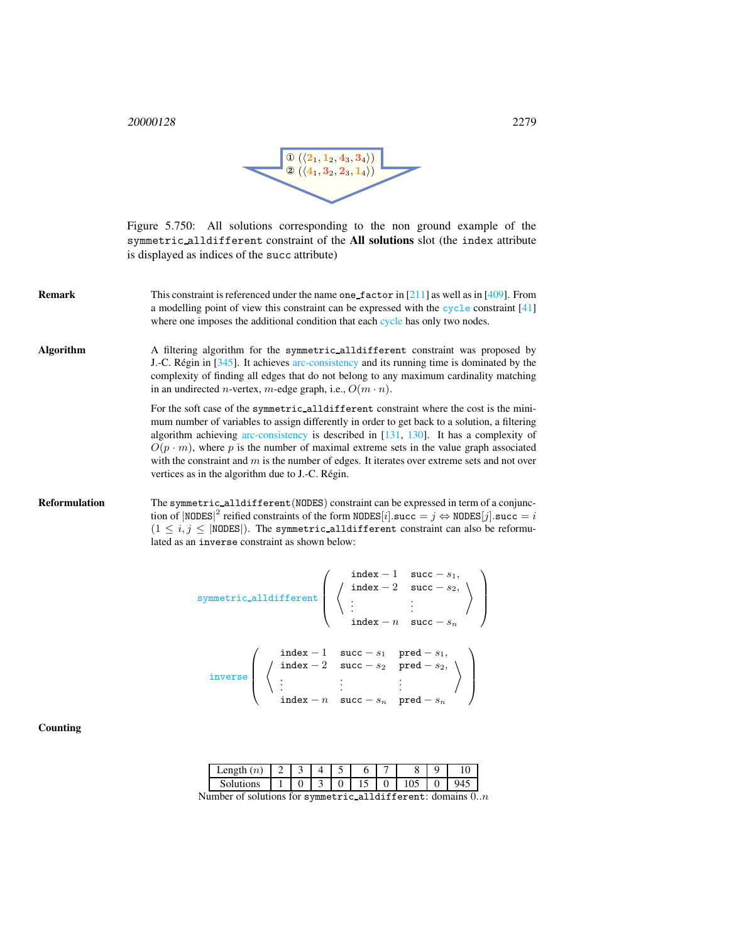<sup>20000128</sup> 2279



<span id="page-1-0"></span>Figure 5.750: All solutions corresponding to the non ground example of the symmetric alldifferent constraint of the All solutions slot (the index attribute is displayed as indices of the succ attribute)

- **Remark** This constraint is referenced under the name one factor in [211] as well as in [409]. From a modelling point of view this constraint can be expressed with the cycle constraint [41] where one imposes the additional condition that each cycle has only two nodes.
- Algorithm A filtering algorithm for the symmetric alldifferent constraint was proposed by J.-C. Régin in  $[345]$ . It achieves arc-consistency and its running time is dominated by the complexity of finding all edges that do not belong to any maximum cardinality matching in an undirected *n*-vertex, *m*-edge graph, i.e.,  $O(m \cdot n)$ .

For the soft case of the symmetric alldifferent constraint where the cost is the minimum number of variables to assign differently in order to get back to a solution, a filtering algorithm achieving arc-consistency is described in [131, 130]. It has a complexity of  $O(p \cdot m)$ , where p is the number of maximal extreme sets in the value graph associated with the constraint and  $m$  is the number of edges. It iterates over extreme sets and not over vertices as in the algorithm due to J.-C. Régin.

Reformulation The symmetric\_alldifferent(NODES) constraint can be expressed in term of a conjunction of  $| \text{NODES} |^2$  reified constraints of the form  $\text{NODES}[i]$ . succ =  $j \Leftrightarrow \text{NODES}[j]$ . succ = i  $(1 \le i, j \le |$ NODES|). The symmetric\_alldifferent constraint can also be reformulated as an inverse constraint as shown below:

$$
\text{symmetric-alldifferent}\left(\begin{array}{c}\text{index } -1 & \text{succ } -s_1, \\ \left\langle \begin{array}{cc} \text{index } -2 & \text{succ } -s_2, \\ \vdots & \vdots \\ \text{index } -n & \text{succ } -s_n \end{array} \right\rangle\right) \\ \text{inverse}\left(\begin{array}{c}\text{index } -1 & \text{succ } -s_1 & \text{pred } -s_1, \\ \vdots & \vdots & \text{pred } -s_2, \\ \vdots & \vdots & \vdots \\ \text{index } -n & \text{succ } -s_n & \text{pred } -s_n \end{array}\right)
$$

**Counting** 

| Solutions<br>ິ<br><br>1 J<br>ັ<br>u | .en¤th<br>(n<br>ം പ |  |  |  |  | $\overline{1}$ |
|-------------------------------------|---------------------|--|--|--|--|----------------|
|                                     |                     |  |  |  |  |                |

Number of solutions for symmetric alldifferent: domains  $0..n$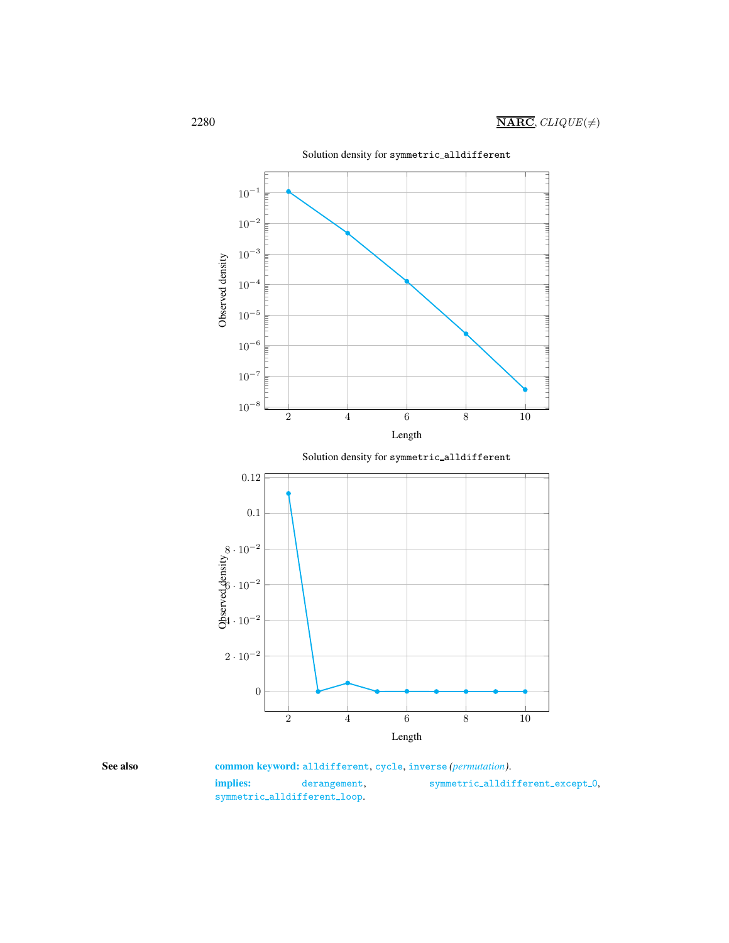

<span id="page-2-0"></span>

See also common keyword: alldifferent, cycle, inverse (permutation). implies: derangement, symmetric\_alldifferent\_except\_0, symmetric\_alldifferent\_loop.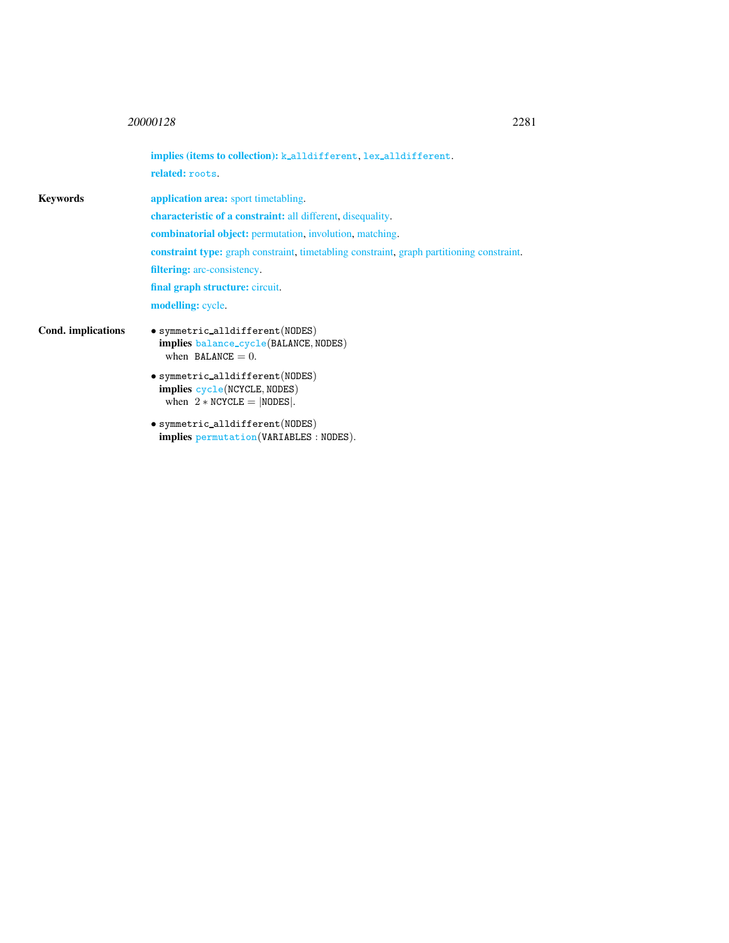## <sup>20000128</sup> 2281

|                    | <b>implies (items to collection):</b> k_alldifferent, lex_alldifferent.<br>related: roots.               |
|--------------------|----------------------------------------------------------------------------------------------------------|
| Kevwords           | <b>application area:</b> sport timetabling.                                                              |
|                    | <b>characteristic of a constraint:</b> all different, disequality.                                       |
|                    | <b>combinatorial object:</b> permutation, involution, matching.                                          |
|                    | <b>constraint type:</b> graph constraint, timetabling constraint, graph partitioning constraint.         |
|                    | <b>filtering:</b> arc-consistency.                                                                       |
|                    | final graph structure: circuit.                                                                          |
|                    | <b>modelling:</b> cycle.                                                                                 |
| Cond. implications | $\bullet$ symmetric_alldifferent(NODES)<br>implies balance_cycle(BALANCE, NODES)<br>when BALANCE $= 0$ . |
|                    | $\bullet$ symmetric_alldifferent(NODES)<br>implies cycle(NCYCLE, NODES)<br>when $2 * NCYCLE =  NODES $ . |
|                    | • symmetric_alldifferent(NODES)<br><b>implies</b> permutation (VARIABLES : NODES).                       |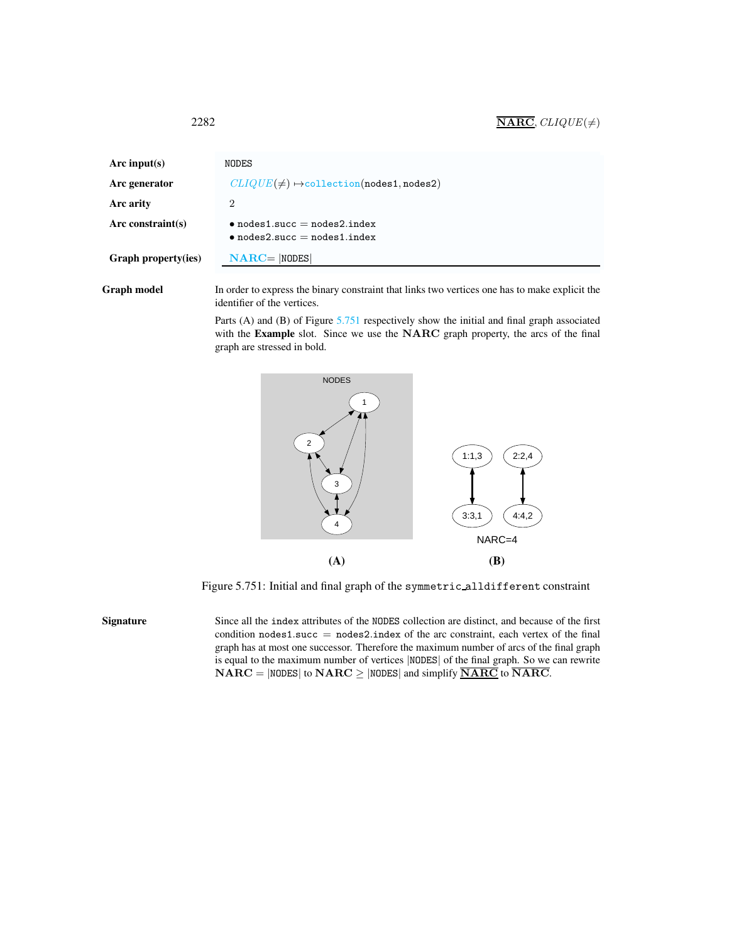| Arc input(s)               | NODES                                                                        |
|----------------------------|------------------------------------------------------------------------------|
| Arc generator              | $CLIQUE(\neq) \rightarrow$ collection(nodes1,nodes2)                         |
| Arc arity                  | 2                                                                            |
| Arc constraint $(s)$       | $\bullet$ nodes1.succ = nodes2.index<br>$\bullet$ nodes2.succ = nodes1.index |
| <b>Graph property(ies)</b> | $NARC =  NODES $                                                             |

Graph model In order to express the binary constraint that links two vertices one has to make explicit the identifier of the vertices.

> Parts (A) and (B) of Figure [5.751](#page-4-1) respectively show the initial and final graph associated with the Example slot. Since we use the NARC graph property, the arcs of the final graph are stressed in bold.



<span id="page-4-1"></span>Figure 5.751: Initial and final graph of the symmetric alldifferent constraint

Signature Since all the index attributes of the NODES collection are distinct, and because of the first condition  $nodes1.succ = nodes2.index$  of the arc constraint, each vertex of the final graph has at most one successor. Therefore the maximum number of arcs of the final graph is equal to the maximum number of vertices |NODES| of the final graph. So we can rewrite  $NARC = |NODES|$  to  $NARC \ge |NODES|$  and simplify  $\overline{NARC}$  to  $\overline{NARC}$ .

<span id="page-4-0"></span>